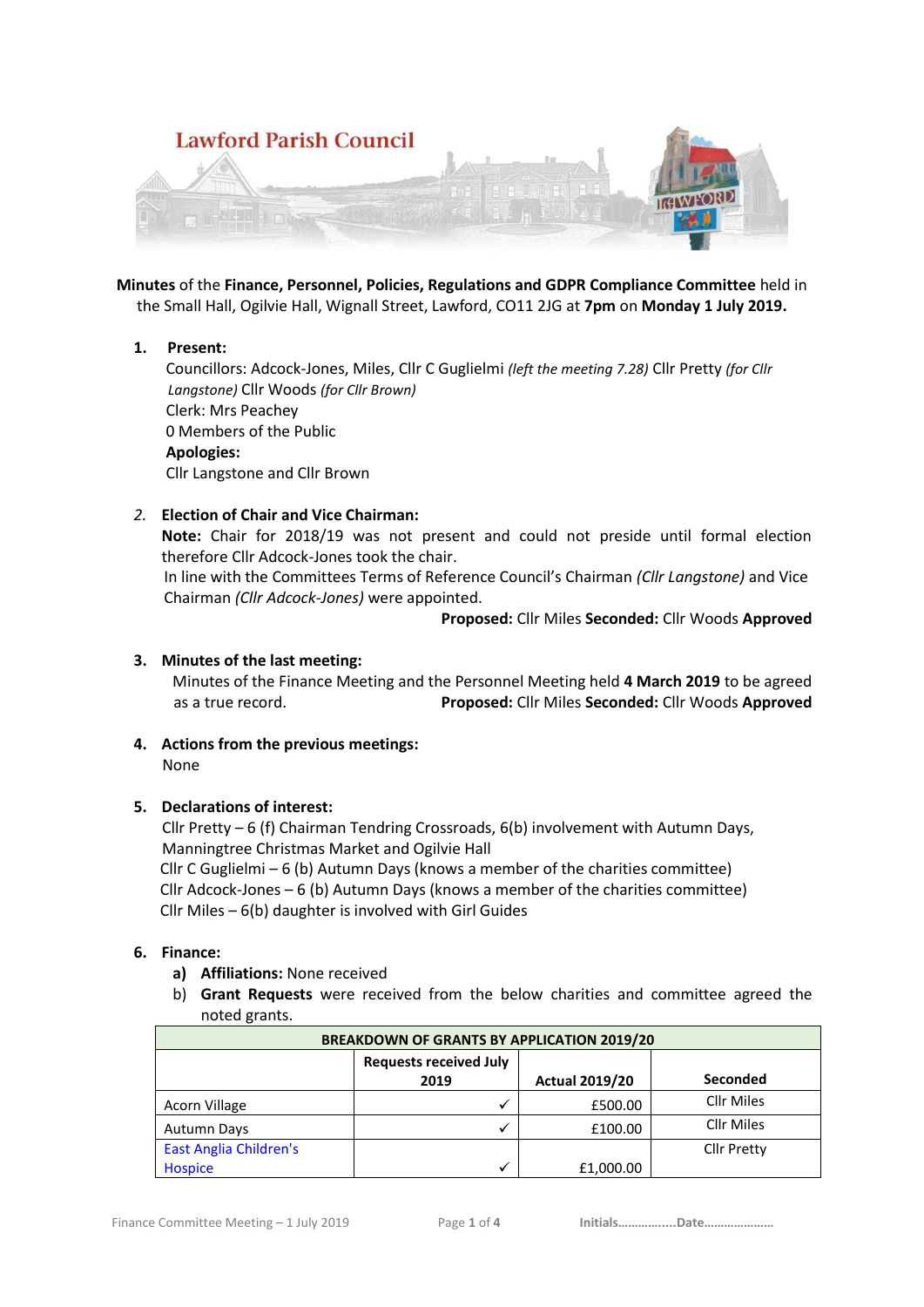

**Minutes** of the **Finance, Personnel, Policies, Regulations and GDPR Compliance Committee** held in the Small Hall, Ogilvie Hall, Wignall Street, Lawford, CO11 2JG at **7pm** on **Monday 1 July 2019.**

## **1. Present:**

 Councillors: Adcock-Jones, Miles, Cllr C Guglielmi *(left the meeting 7.28)* Cllr Pretty *(for Cllr Langstone)* Cllr Woods *(for Cllr Brown)* Clerk: Mrs Peachey 0 Members of the Public **Apologies:** Cllr Langstone and Cllr Brown

## *2.* **Election of Chair and Vice Chairman:**

**Note:** Chair for 2018/19 was not present and could not preside until formal election therefore Cllr Adcock-Jones took the chair.

In line with the Committees Terms of Reference Council's Chairman *(Cllr Langstone)* and Vice Chairman *(Cllr Adcock-Jones)* were appointed.

**Proposed:** Cllr Miles **Seconded:** Cllr Woods **Approved**

### **3. Minutes of the last meeting:**

Minutes of the Finance Meeting and the Personnel Meeting held **4 March 2019** to be agreed as a true record. **Proposed:** Cllr Miles **Seconded:** Cllr Woods **Approved**

**4. Actions from the previous meetings:** None

# **5. Declarations of interest:**

 Cllr Pretty – 6 (f) Chairman Tendring Crossroads, 6(b) involvement with Autumn Days, Manningtree Christmas Market and Ogilvie Hall Cllr C Guglielmi – 6 (b) Autumn Days (knows a member of the charities committee)

Cllr Adcock-Jones – 6 (b) Autumn Days (knows a member of the charities committee) Cllr Miles – 6(b) daughter is involved with Girl Guides

## **6. Finance:**

- **a) Affiliations:** None received
- b) **Grant Requests** were received from the below charities and committee agreed the noted grants.

| <b>BREAKDOWN OF GRANTS BY APPLICATION 2019/20</b> |                               |                       |                    |  |
|---------------------------------------------------|-------------------------------|-----------------------|--------------------|--|
|                                                   | <b>Requests received July</b> |                       |                    |  |
|                                                   | 2019                          | <b>Actual 2019/20</b> | <b>Seconded</b>    |  |
| Acorn Village                                     |                               | £500.00               | <b>Cllr Miles</b>  |  |
| <b>Autumn Days</b>                                |                               | £100.00               | <b>Cllr Miles</b>  |  |
| <b>East Anglia Children's</b>                     |                               |                       | <b>Cllr Pretty</b> |  |
| Hospice                                           |                               | £1,000.00             |                    |  |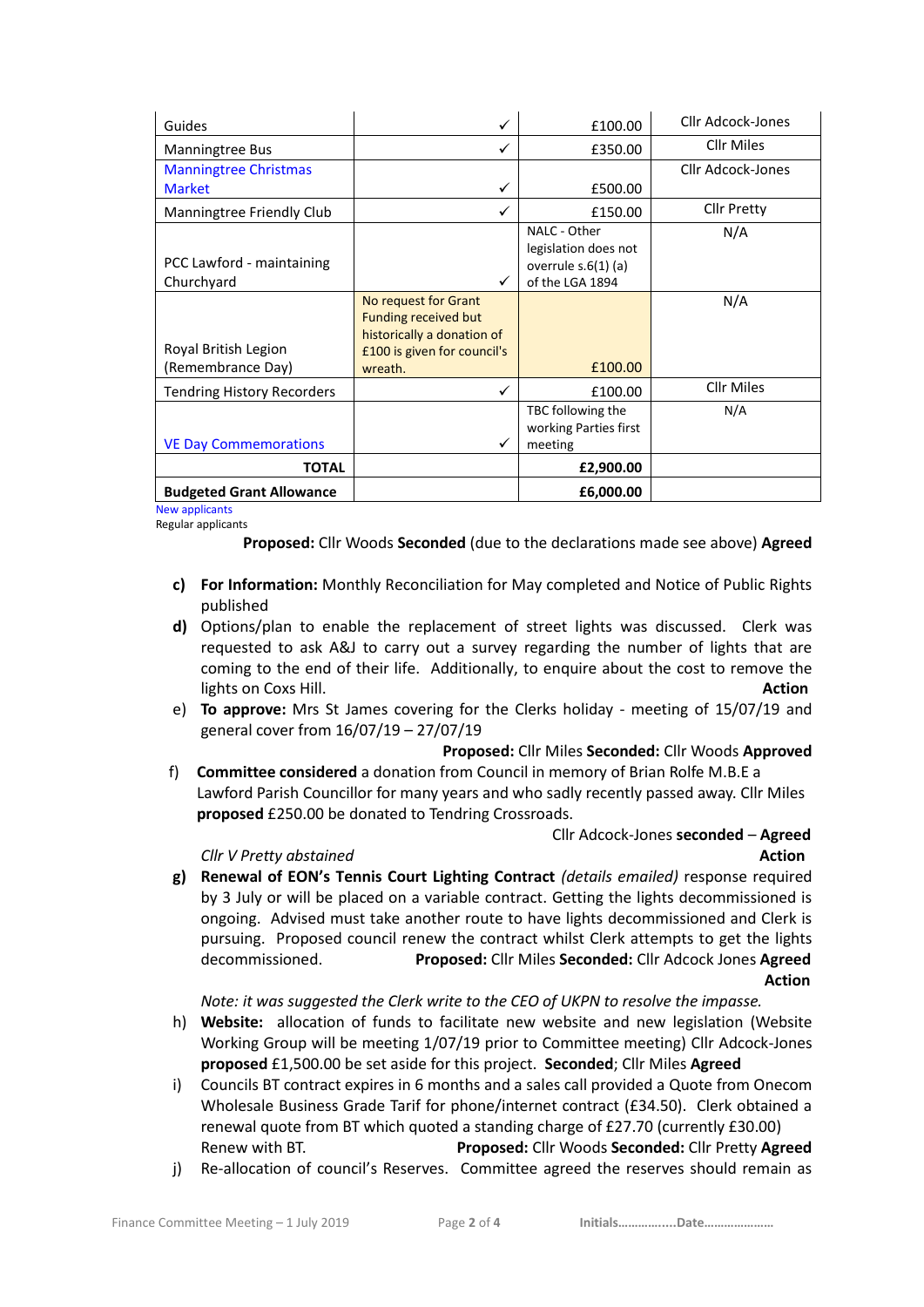| Guides                            | ✓                           | £100.00               | Cllr Adcock-Jones  |
|-----------------------------------|-----------------------------|-----------------------|--------------------|
| <b>Manningtree Bus</b>            |                             | £350.00               | Cllr Miles         |
| <b>Manningtree Christmas</b>      |                             |                       | Cllr Adcock-Jones  |
| <b>Market</b>                     | ✓                           | £500.00               |                    |
| Manningtree Friendly Club         |                             | £150.00               | <b>Cllr Pretty</b> |
|                                   |                             | NALC - Other          | N/A                |
|                                   |                             | legislation does not  |                    |
| PCC Lawford - maintaining         |                             | overrule $s.6(1)$ (a) |                    |
| Churchyard                        |                             | of the LGA 1894       |                    |
|                                   | No request for Grant        |                       | N/A                |
|                                   | <b>Funding received but</b> |                       |                    |
|                                   | historically a donation of  |                       |                    |
| Royal British Legion              | £100 is given for council's |                       |                    |
| (Remembrance Day)                 | wreath.                     | £100.00               |                    |
| <b>Tendring History Recorders</b> | ✓                           | £100.00               | <b>Cllr Miles</b>  |
|                                   |                             | TBC following the     | N/A                |
|                                   |                             | working Parties first |                    |
| <b>VE Day Commemorations</b>      |                             | meeting               |                    |
| <b>TOTAL</b>                      |                             | £2,900.00             |                    |
| <b>Budgeted Grant Allowance</b>   |                             | £6,000.00             |                    |

New applicants Regular applicants

**Proposed:** Cllr Woods **Seconded** (due to the declarations made see above) **Agreed**

- **c) For Information:** Monthly Reconciliation for May completed and Notice of Public Rights published
- **d)** Options/plan to enable the replacement of street lights was discussed. Clerk was requested to ask A&J to carry out a survey regarding the number of lights that are coming to the end of their life. Additionally, to enquire about the cost to remove the lights on Coxs Hill. **Action**
- e) **To approve:** Mrs St James covering for the Clerks holiday meeting of 15/07/19 and general cover from 16/07/19 – 27/07/19

#### **Proposed:** Cllr Miles **Seconded:** Cllr Woods **Approved**

f) **Committee considered** a donation from Council in memory of Brian Rolfe M.B.E a Lawford Parish Councillor for many years and who sadly recently passed away. Cllr Miles **proposed** £250.00 be donated to Tendring Crossroads.

### Cllr Adcock-Jones **seconded** – **Agreed** *Cllr V Pretty abstained* **Action**

**g) Renewal of EON's Tennis Court Lighting Contract** *(details emailed)* response required by 3 July or will be placed on a variable contract. Getting the lights decommissioned is ongoing. Advised must take another route to have lights decommissioned and Clerk is pursuing. Proposed council renew the contract whilst Clerk attempts to get the lights decommissioned. **Proposed:** Cllr Miles **Seconded:** Cllr Adcock Jones **Agreed** *Action* 

*Note: it was suggested the Clerk write to the CEO of UKPN to resolve the impasse.*

- h) **Website:** allocation of funds to facilitate new website and new legislation (Website Working Group will be meeting 1/07/19 prior to Committee meeting) Cllr Adcock-Jones **proposed** £1,500.00 be set aside for this project. **Seconded**; Cllr Miles **Agreed**
- i) Councils BT contract expires in 6 months and a sales call provided a Quote from Onecom Wholesale Business Grade Tarif for phone/internet contract (£34.50). Clerk obtained a renewal quote from BT which quoted a standing charge of £27.70 (currently £30.00) Renew with BT. **Proposed:** Cllr Woods **Seconded:** Cllr Pretty **Agreed**
- j) Re-allocation of council's Reserves. Committee agreed the reserves should remain as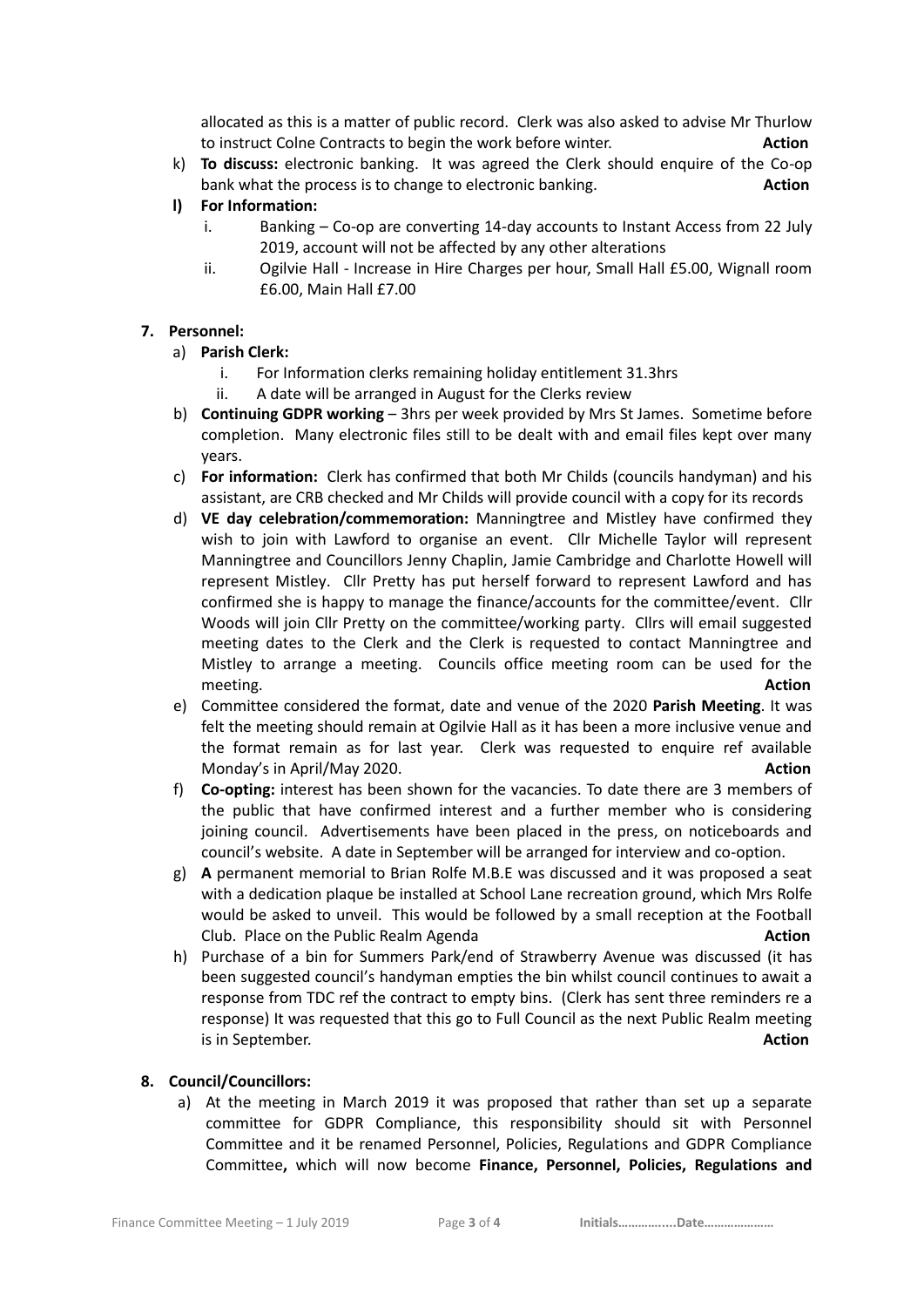allocated as this is a matter of public record. Clerk was also asked to advise Mr Thurlow to instruct Colne Contracts to begin the work before winter. **Action**

- k) **To discuss:** electronic banking. It was agreed the Clerk should enquire of the Co-op bank what the process is to change to electronic banking. **Action**
- **l) For Information:** 
	- i. Banking Co-op are converting 14-day accounts to Instant Access from 22 July 2019, account will not be affected by any other alterations
	- ii. Ogilvie Hall Increase in Hire Charges per hour, Small Hall £5.00, Wignall room £6.00, Main Hall £7.00

# **7. Personnel:**

- a) **Parish Clerk:**
	- i. For Information clerks remaining holiday entitlement 31.3hrs
	- ii. A date will be arranged in August for the Clerks review
- b) **Continuing GDPR working** 3hrs per week provided by Mrs St James. Sometime before completion. Many electronic files still to be dealt with and email files kept over many years.
- c) **For information:** Clerk has confirmed that both Mr Childs (councils handyman) and his assistant, are CRB checked and Mr Childs will provide council with a copy for its records
- d) **VE day celebration/commemoration:** Manningtree and Mistley have confirmed they wish to join with Lawford to organise an event. Cllr Michelle Taylor will represent Manningtree and Councillors Jenny Chaplin, Jamie Cambridge and Charlotte Howell will represent Mistley. Cllr Pretty has put herself forward to represent Lawford and has confirmed she is happy to manage the finance/accounts for the committee/event. Cllr Woods will join Cllr Pretty on the committee/working party. Cllrs will email suggested meeting dates to the Clerk and the Clerk is requested to contact Manningtree and Mistley to arrange a meeting. Councils office meeting room can be used for the meeting. **Action**
- e) Committee considered the format, date and venue of the 2020 **Parish Meeting**. It was felt the meeting should remain at Ogilvie Hall as it has been a more inclusive venue and the format remain as for last year. Clerk was requested to enquire ref available Monday's in April/May 2020. **Action**
- f) **Co-opting:** interest has been shown for the vacancies. To date there are 3 members of the public that have confirmed interest and a further member who is considering joining council. Advertisements have been placed in the press, on noticeboards and council's website. A date in September will be arranged for interview and co-option.
- g) **A** permanent memorial to Brian Rolfe M.B.E was discussed and it was proposed a seat with a dedication plaque be installed at School Lane recreation ground, which Mrs Rolfe would be asked to unveil. This would be followed by a small reception at the Football Club. Place on the Public Realm Agenda **Action**
- h) Purchase of a bin for Summers Park/end of Strawberry Avenue was discussed (it has been suggested council's handyman empties the bin whilst council continues to await a response from TDC ref the contract to empty bins. (Clerk has sent three reminders re a response) It was requested that this go to Full Council as the next Public Realm meeting is in September. **Action**

# **8. Council/Councillors:**

a) At the meeting in March 2019 it was proposed that rather than set up a separate committee for GDPR Compliance, this responsibility should sit with Personnel Committee and it be renamed Personnel, Policies, Regulations and GDPR Compliance Committee**,** which will now become **Finance, Personnel, Policies, Regulations and**